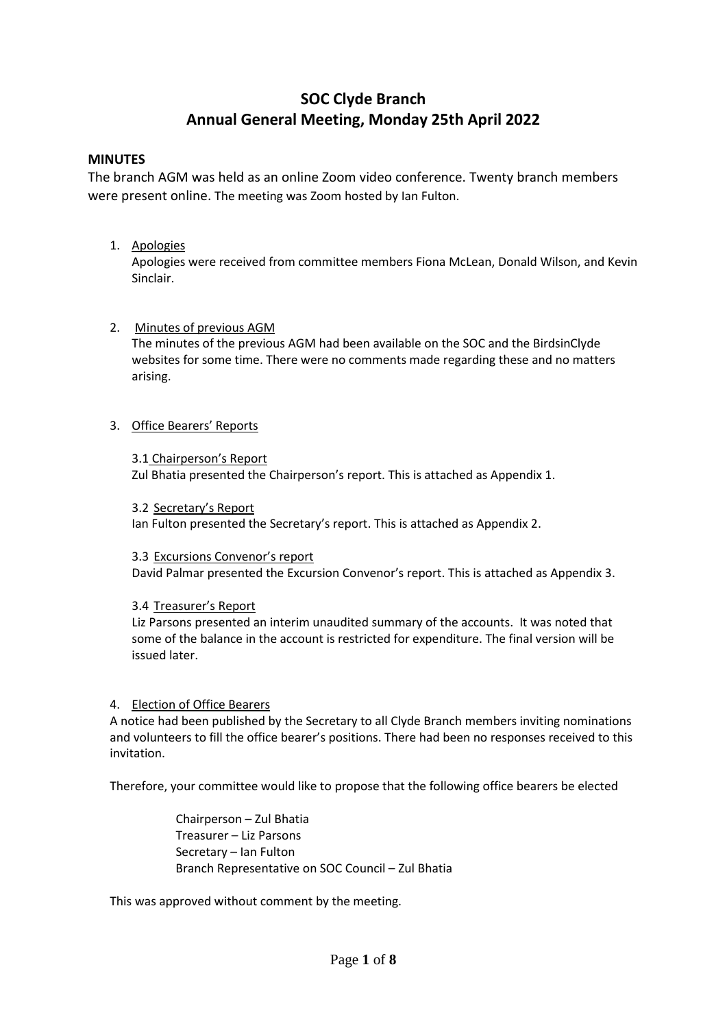# **SOC Clyde Branch Annual General Meeting, Monday 25th April 2022**

## **MINUTES**

The branch AGM was held as an online Zoom video conference. Twenty branch members were present online. The meeting was Zoom hosted by Ian Fulton.

## 1. Apologies

Apologies were received from committee members Fiona McLean, Donald Wilson, and Kevin Sinclair.

## 2. Minutes of previous AGM

The minutes of the previous AGM had been available on the SOC and the BirdsinClyde websites for some time. There were no comments made regarding these and no matters arising.

## 3. Office Bearers' Reports

#### 3.1 Chairperson's Report

Zul Bhatia presented the Chairperson's report. This is attached as Appendix 1.

3.2 Secretary's Report

Ian Fulton presented the Secretary's report. This is attached as Appendix 2.

#### 3.3 Excursions Convenor's report

David Palmar presented the Excursion Convenor's report. This is attached as Appendix 3.

## 3.4 Treasurer's Report

Liz Parsons presented an interim unaudited summary of the accounts. It was noted that some of the balance in the account is restricted for expenditure. The final version will be issued later.

#### 4. Election of Office Bearers

A notice had been published by the Secretary to all Clyde Branch members inviting nominations and volunteers to fill the office bearer's positions. There had been no responses received to this invitation.

Therefore, your committee would like to propose that the following office bearers be elected

Chairperson – Zul Bhatia Treasurer – Liz Parsons Secretary – Ian Fulton Branch Representative on SOC Council – Zul Bhatia

This was approved without comment by the meeting.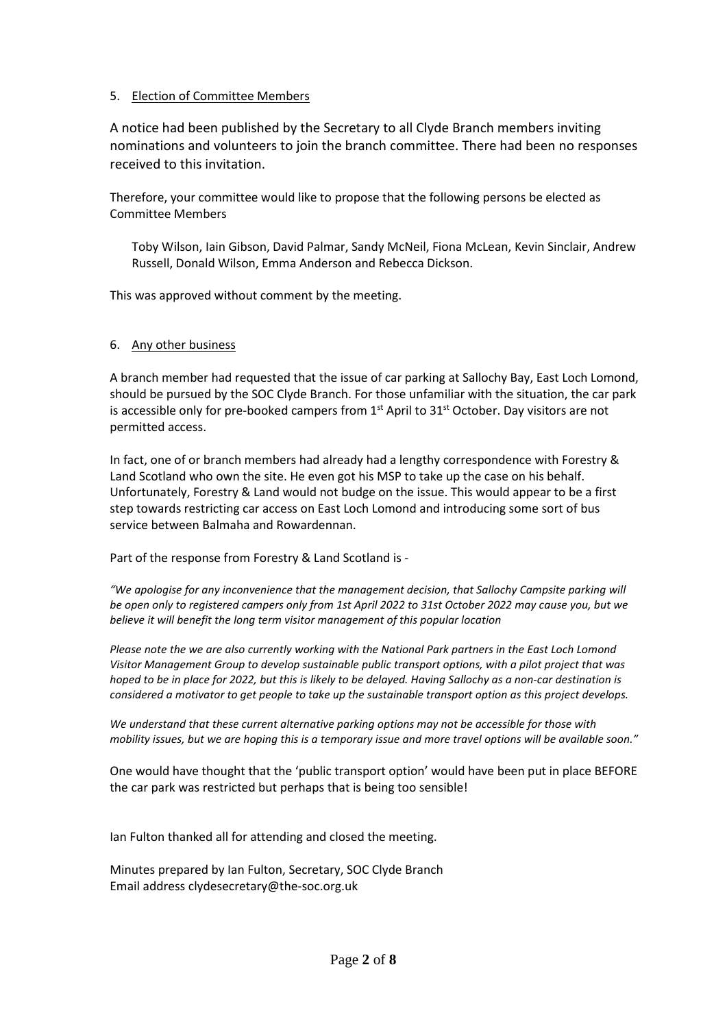#### 5. Election of Committee Members

A notice had been published by the Secretary to all Clyde Branch members inviting nominations and volunteers to join the branch committee. There had been no responses received to this invitation.

Therefore, your committee would like to propose that the following persons be elected as Committee Members

Toby Wilson, Iain Gibson, David Palmar, Sandy McNeil, Fiona McLean, Kevin Sinclair, Andrew Russell, Donald Wilson, Emma Anderson and Rebecca Dickson.

This was approved without comment by the meeting.

#### 6. Any other business

A branch member had requested that the issue of car parking at Sallochy Bay, East Loch Lomond, should be pursued by the SOC Clyde Branch. For those unfamiliar with the situation, the car park is accessible only for pre-booked campers from  $1<sup>st</sup>$  April to  $31<sup>st</sup>$  October. Day visitors are not permitted access.

In fact, one of or branch members had already had a lengthy correspondence with Forestry & Land Scotland who own the site. He even got his MSP to take up the case on his behalf. Unfortunately, Forestry & Land would not budge on the issue. This would appear to be a first step towards restricting car access on East Loch Lomond and introducing some sort of bus service between Balmaha and Rowardennan.

Part of the response from Forestry & Land Scotland is -

*"We apologise for any inconvenience that the management decision, that Sallochy Campsite parking will be open only to registered campers only from 1st April 2022 to 31st October 2022 may cause you, but we believe it will benefit the long term visitor management of this popular location*

*Please note the we are also currently working with the National Park partners in the East Loch Lomond Visitor Management Group to develop sustainable public transport options, with a pilot project that was hoped to be in place for 2022, but this is likely to be delayed. Having Sallochy as a non-car destination is considered a motivator to get people to take up the sustainable transport option as this project develops.*

*We understand that these current alternative parking options may not be accessible for those with mobility issues, but we are hoping this is a temporary issue and more travel options will be available soon."*

One would have thought that the 'public transport option' would have been put in place BEFORE the car park was restricted but perhaps that is being too sensible!

Ian Fulton thanked all for attending and closed the meeting.

Minutes prepared by Ian Fulton, Secretary, SOC Clyde Branch Email address clydesecretary@the-soc.org.uk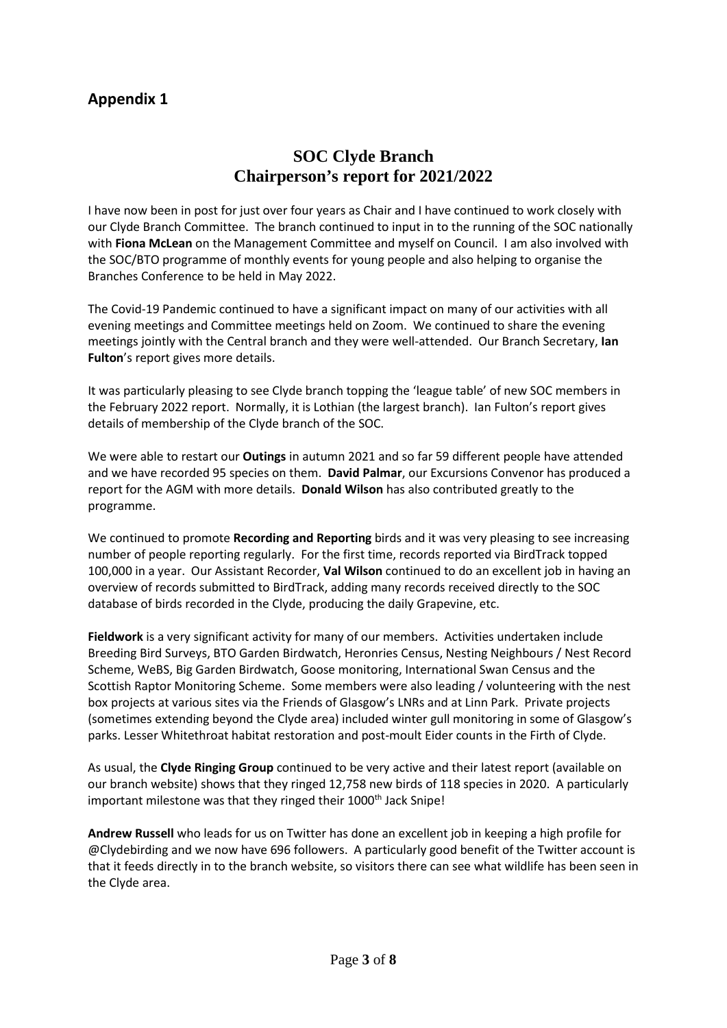# **Appendix 1**

# **SOC Clyde Branch Chairperson's report for 2021/2022**

I have now been in post for just over four years as Chair and I have continued to work closely with our Clyde Branch Committee. The branch continued to input in to the running of the SOC nationally with **Fiona McLean** on the Management Committee and myself on Council. I am also involved with the SOC/BTO programme of monthly events for young people and also helping to organise the Branches Conference to be held in May 2022.

The Covid-19 Pandemic continued to have a significant impact on many of our activities with all evening meetings and Committee meetings held on Zoom. We continued to share the evening meetings jointly with the Central branch and they were well-attended. Our Branch Secretary, **Ian Fulton**'s report gives more details.

It was particularly pleasing to see Clyde branch topping the 'league table' of new SOC members in the February 2022 report. Normally, it is Lothian (the largest branch). Ian Fulton's report gives details of membership of the Clyde branch of the SOC.

We were able to restart our **Outings** in autumn 2021 and so far 59 different people have attended and we have recorded 95 species on them. **David Palmar**, our Excursions Convenor has produced a report for the AGM with more details. **Donald Wilson** has also contributed greatly to the programme.

We continued to promote **Recording and Reporting** birds and it was very pleasing to see increasing number of people reporting regularly. For the first time, records reported via BirdTrack topped 100,000 in a year. Our Assistant Recorder, **Val Wilson** continued to do an excellent job in having an overview of records submitted to BirdTrack, adding many records received directly to the SOC database of birds recorded in the Clyde, producing the daily Grapevine, etc.

**Fieldwork** is a very significant activity for many of our members. Activities undertaken include Breeding Bird Surveys, BTO Garden Birdwatch, Heronries Census, Nesting Neighbours / Nest Record Scheme, WeBS, Big Garden Birdwatch, Goose monitoring, International Swan Census and the Scottish Raptor Monitoring Scheme. Some members were also leading / volunteering with the nest box projects at various sites via the Friends of Glasgow's LNRs and at Linn Park. Private projects (sometimes extending beyond the Clyde area) included winter gull monitoring in some of Glasgow's parks. Lesser Whitethroat habitat restoration and post-moult Eider counts in the Firth of Clyde.

As usual, the **Clyde Ringing Group** continued to be very active and their latest report (available on our branch website) shows that they ringed 12,758 new birds of 118 species in 2020. A particularly important milestone was that they ringed their 1000<sup>th</sup> Jack Snipe!

**Andrew Russell** who leads for us on Twitter has done an excellent job in keeping a high profile for @Clydebirding and we now have 696 followers. A particularly good benefit of the Twitter account is that it feeds directly in to the branch website, so visitors there can see what wildlife has been seen in the Clyde area.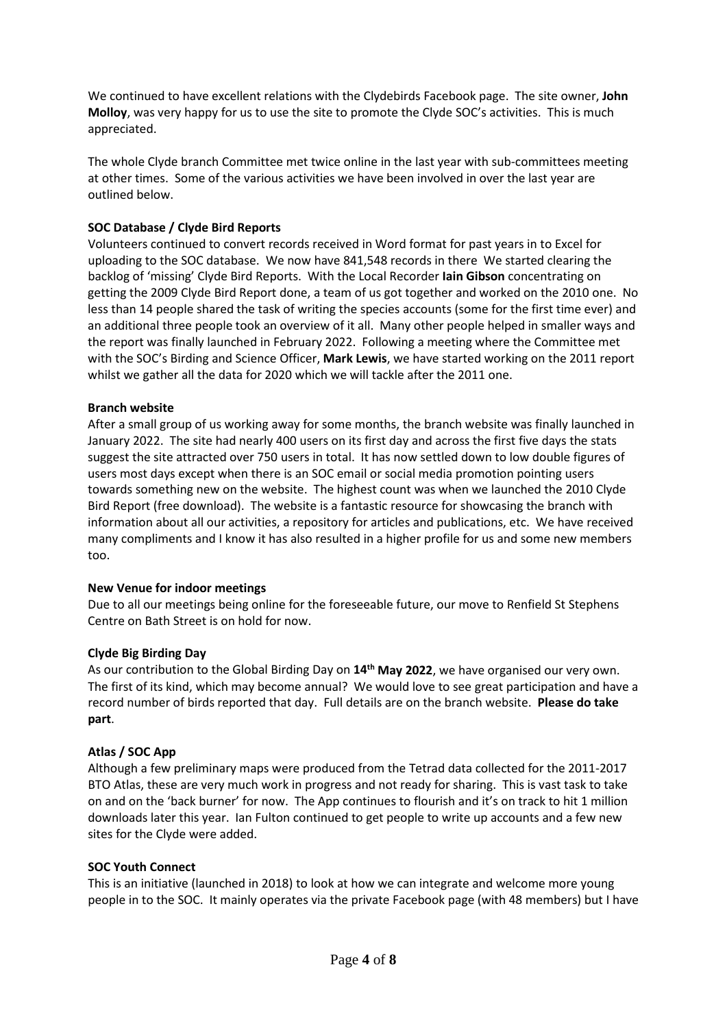We continued to have excellent relations with the Clydebirds Facebook page. The site owner, **John Molloy**, was very happy for us to use the site to promote the Clyde SOC's activities. This is much appreciated.

The whole Clyde branch Committee met twice online in the last year with sub-committees meeting at other times. Some of the various activities we have been involved in over the last year are outlined below.

## **SOC Database / Clyde Bird Reports**

Volunteers continued to convert records received in Word format for past years in to Excel for uploading to the SOC database. We now have 841,548 records in there We started clearing the backlog of 'missing' Clyde Bird Reports. With the Local Recorder **Iain Gibson** concentrating on getting the 2009 Clyde Bird Report done, a team of us got together and worked on the 2010 one. No less than 14 people shared the task of writing the species accounts (some for the first time ever) and an additional three people took an overview of it all. Many other people helped in smaller ways and the report was finally launched in February 2022. Following a meeting where the Committee met with the SOC's Birding and Science Officer, **Mark Lewis**, we have started working on the 2011 report whilst we gather all the data for 2020 which we will tackle after the 2011 one.

## **Branch website**

After a small group of us working away for some months, the branch website was finally launched in January 2022. The site had nearly 400 users on its first day and across the first five days the stats suggest the site attracted over 750 users in total. It has now settled down to low double figures of users most days except when there is an SOC email or social media promotion pointing users towards something new on the website. The highest count was when we launched the 2010 Clyde Bird Report (free download). The website is a fantastic resource for showcasing the branch with information about all our activities, a repository for articles and publications, etc. We have received many compliments and I know it has also resulted in a higher profile for us and some new members too.

## **New Venue for indoor meetings**

Due to all our meetings being online for the foreseeable future, our move to Renfield St Stephens Centre on Bath Street is on hold for now.

## **Clyde Big Birding Day**

As our contribution to the Global Birding Day on **14th May 2022**, we have organised our very own. The first of its kind, which may become annual? We would love to see great participation and have a record number of birds reported that day. Full details are on the branch website. **Please do take part**.

## **Atlas / SOC App**

Although a few preliminary maps were produced from the Tetrad data collected for the 2011-2017 BTO Atlas, these are very much work in progress and not ready for sharing. This is vast task to take on and on the 'back burner' for now. The App continues to flourish and it's on track to hit 1 million downloads later this year. Ian Fulton continued to get people to write up accounts and a few new sites for the Clyde were added.

## **SOC Youth Connect**

This is an initiative (launched in 2018) to look at how we can integrate and welcome more young people in to the SOC. It mainly operates via the private Facebook page (with 48 members) but I have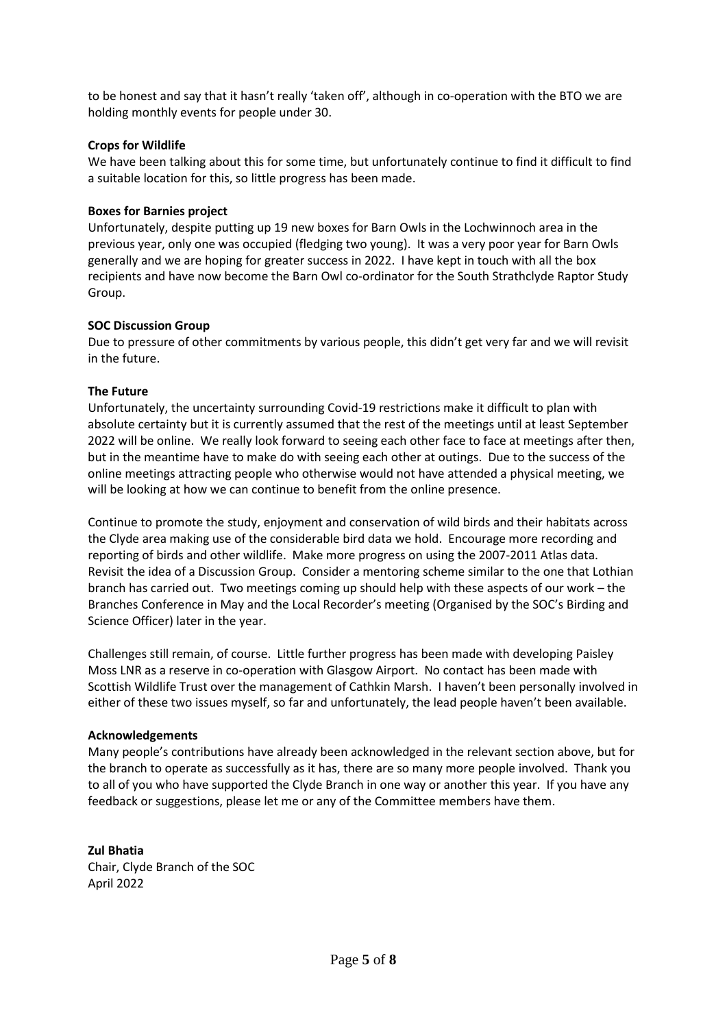to be honest and say that it hasn't really 'taken off', although in co-operation with the BTO we are holding monthly events for people under 30.

#### **Crops for Wildlife**

We have been talking about this for some time, but unfortunately continue to find it difficult to find a suitable location for this, so little progress has been made.

#### **Boxes for Barnies project**

Unfortunately, despite putting up 19 new boxes for Barn Owls in the Lochwinnoch area in the previous year, only one was occupied (fledging two young). It was a very poor year for Barn Owls generally and we are hoping for greater success in 2022. I have kept in touch with all the box recipients and have now become the Barn Owl co-ordinator for the South Strathclyde Raptor Study Group.

#### **SOC Discussion Group**

Due to pressure of other commitments by various people, this didn't get very far and we will revisit in the future.

#### **The Future**

Unfortunately, the uncertainty surrounding Covid-19 restrictions make it difficult to plan with absolute certainty but it is currently assumed that the rest of the meetings until at least September 2022 will be online. We really look forward to seeing each other face to face at meetings after then, but in the meantime have to make do with seeing each other at outings. Due to the success of the online meetings attracting people who otherwise would not have attended a physical meeting, we will be looking at how we can continue to benefit from the online presence.

Continue to promote the study, enjoyment and conservation of wild birds and their habitats across the Clyde area making use of the considerable bird data we hold. Encourage more recording and reporting of birds and other wildlife. Make more progress on using the 2007-2011 Atlas data. Revisit the idea of a Discussion Group. Consider a mentoring scheme similar to the one that Lothian branch has carried out. Two meetings coming up should help with these aspects of our work – the Branches Conference in May and the Local Recorder's meeting (Organised by the SOC's Birding and Science Officer) later in the year.

Challenges still remain, of course. Little further progress has been made with developing Paisley Moss LNR as a reserve in co-operation with Glasgow Airport. No contact has been made with Scottish Wildlife Trust over the management of Cathkin Marsh. I haven't been personally involved in either of these two issues myself, so far and unfortunately, the lead people haven't been available.

#### **Acknowledgements**

Many people's contributions have already been acknowledged in the relevant section above, but for the branch to operate as successfully as it has, there are so many more people involved. Thank you to all of you who have supported the Clyde Branch in one way or another this year. If you have any feedback or suggestions, please let me or any of the Committee members have them.

**Zul Bhatia** Chair, Clyde Branch of the SOC April 2022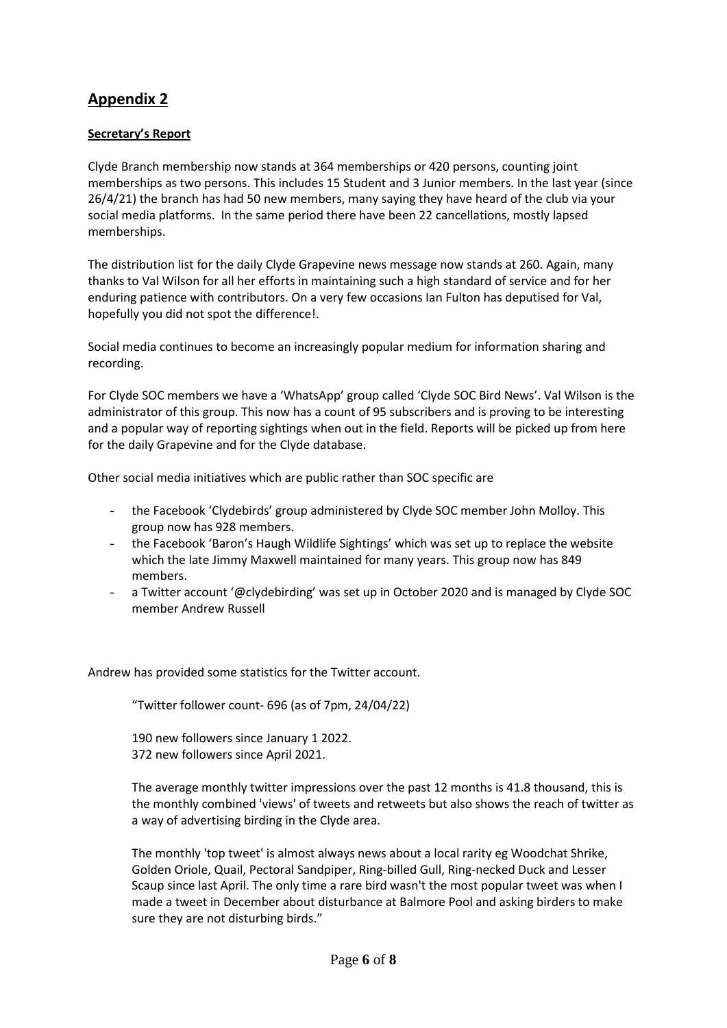# **Appendix 2**

## **Secretary's Report**

Clyde Branch membership now stands at 364 memberships or 420 persons, counting joint memberships as two persons. This includes 15 Student and 3 Junior members. In the last year (since 26/4/21) the branch has had 50 new members, many saying they have heard of the club via your social media platforms. In the same period there have been 22 cancellations, mostly lapsed memberships.

The distribution list for the daily Clyde Grapevine news message now stands at 260. Again, many thanks to Val Wilson for all her efforts in maintaining such a high standard of service and for her enduring patience with contributors. On a very few occasions Ian Fulton has deputised for Val, hopefully you did not spot the difference!.

Social media continues to become an increasingly popular medium for information sharing and recording.

For Clyde SOC members we have a 'WhatsApp' group called 'Clyde SOC Bird News'. Val Wilson is the administrator of this group. This now has a count of 95 subscribers and is proving to be interesting and a popular way of reporting sightings when out in the field. Reports will be picked up from here for the daily Grapevine and for the Clyde database.

Other social media initiatives which are public rather than SOC specific are

- the Facebook 'Clydebirds' group administered by Clyde SOC member John Molloy. This group now has 928 members.
- the Facebook 'Baron's Haugh Wildlife Sightings' which was set up to replace the website which the late Jimmy Maxwell maintained for many years. This group now has 849 members.
- a Twitter account '@clydebirding' was set up in October 2020 and is managed by Clyde SOC member Andrew Russell

Andrew has provided some statistics for the Twitter account.

"Twitter follower count- 696 (as of 7pm, 24/04/22)

190 new followers since January 1 2022. 372 new followers since April 2021.

The average monthly twitter impressions over the past 12 months is 41.8 thousand, this is the monthly combined 'views' of tweets and retweets but also shows the reach of twitter as a way of advertising birding in the Clyde area.

The monthly 'top tweet' is almost always news about a local rarity eg Woodchat Shrike, Golden Oriole, Quail, Pectoral Sandpiper, Ring-billed Gull, Ring-necked Duck and Lesser Scaup since last April. The only time a rare bird wasn't the most popular tweet was when I made a tweet in December about disturbance at Balmore Pool and asking birders to make sure they are not disturbing birds."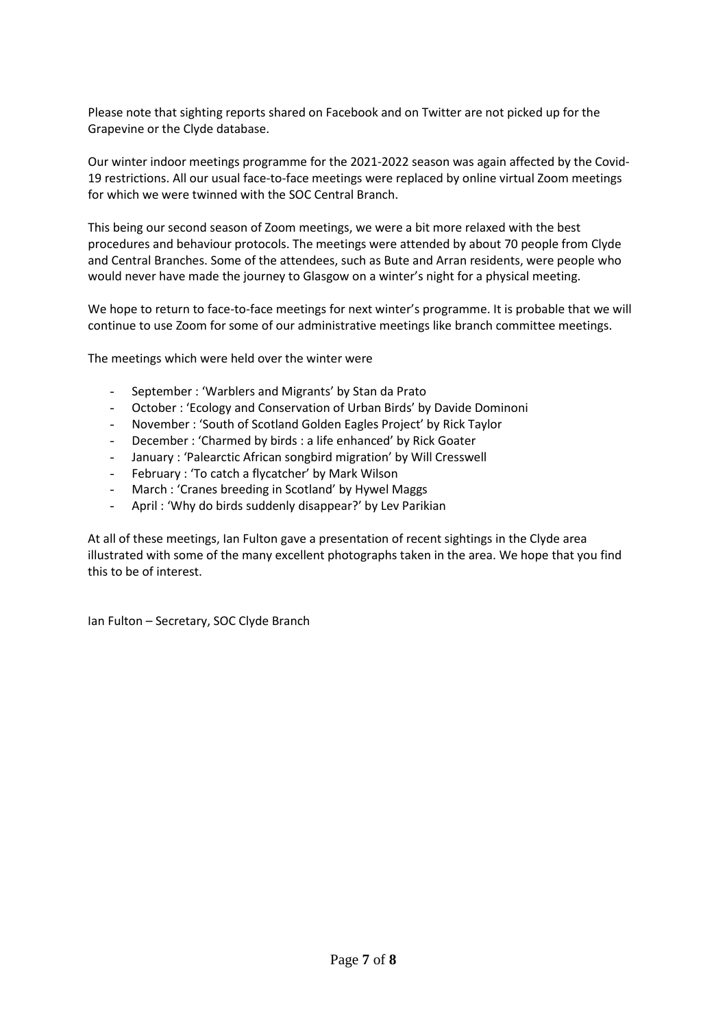Please note that sighting reports shared on Facebook and on Twitter are not picked up for the Grapevine or the Clyde database.

Our winter indoor meetings programme for the 2021-2022 season was again affected by the Covid-19 restrictions. All our usual face-to-face meetings were replaced by online virtual Zoom meetings for which we were twinned with the SOC Central Branch.

This being our second season of Zoom meetings, we were a bit more relaxed with the best procedures and behaviour protocols. The meetings were attended by about 70 people from Clyde and Central Branches. Some of the attendees, such as Bute and Arran residents, were people who would never have made the journey to Glasgow on a winter's night for a physical meeting.

We hope to return to face-to-face meetings for next winter's programme. It is probable that we will continue to use Zoom for some of our administrative meetings like branch committee meetings.

The meetings which were held over the winter were

- September : 'Warblers and Migrants' by Stan da Prato
- October : 'Ecology and Conservation of Urban Birds' by Davide Dominoni
- November : 'South of Scotland Golden Eagles Project' by Rick Taylor
- December : 'Charmed by birds : a life enhanced' by Rick Goater
- January : 'Palearctic African songbird migration' by Will Cresswell
- February : 'To catch a flycatcher' by Mark Wilson
- March : 'Cranes breeding in Scotland' by Hywel Maggs
- April : 'Why do birds suddenly disappear?' by Lev Parikian

At all of these meetings, Ian Fulton gave a presentation of recent sightings in the Clyde area illustrated with some of the many excellent photographs taken in the area. We hope that you find this to be of interest.

Ian Fulton – Secretary, SOC Clyde Branch